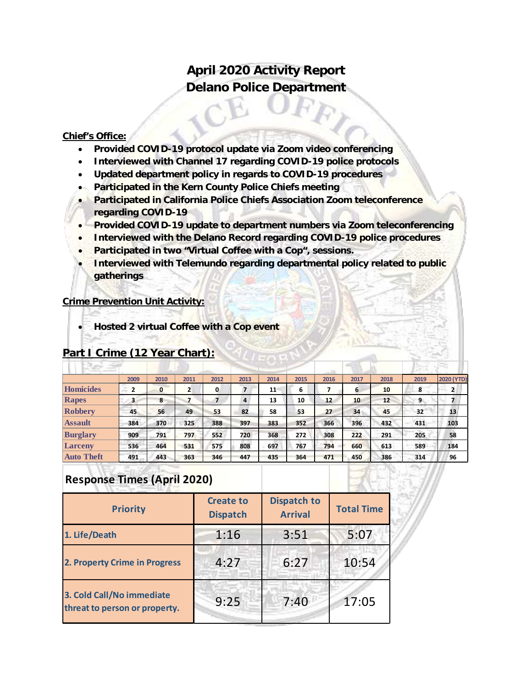## **April 2020 Activity Report Delano Police Department**

#### **Chief's Office:**

- **Provided COVID-19 protocol update via Zoom video conferencing**
- **Interviewed with Channel 17 regarding COVID-19 police protocols**
- **Updated department policy in regards to COVID-19 procedures**
- **Participated in the Kern County Police Chiefs meeting**
- **Participated in California Police Chiefs Association Zoom teleconference regarding COVID-19**
- **Provided COVID-19 update to department numbers via Zoom teleconferencing**
- **Interviewed with the Delano Record regarding COVID-19 police procedures**
- **Participated in two "Virtual Coffee with a Cop", sessions.**
- **Interviewed with Telemundo regarding departmental policy related to public gatherings**

#### **Crime Prevention Unit Activity:**

• **Hosted 2 virtual Coffee with a Cop event**

|                   | 2009                | 2010         | 2011 | 2012 | 2013 | 2014 | 2015 | 2016 | 2017 | 2018 | 2019 | <b>2020 (YTD)</b> |
|-------------------|---------------------|--------------|------|------|------|------|------|------|------|------|------|-------------------|
| Homicides         | $\overline{2}$<br>÷ | $\mathbf{0}$ | 2    | 0    |      | 11   | - 6  |      | 6    | 10   | 8    | 2                 |
| Rapes             | з                   | 8            |      | 7    | 4    | 13   | 10   | 12   | 10   | 12   | 9    |                   |
| <b>Robbery</b>    | 45                  | 56           | 49   | 53   | 82   | 58   | 53   | 27   | 34   | 45   | 32   | 13                |
| <b>Assault</b>    | 384                 | 370          | 325  | 388  | 397  | 383  | 352  | 366  | 396  | 432  | 431  | 103               |
| <b>Burglary</b>   | 909                 | 791          | 797  | 552  | 720  | 368  | 272  | 308  | 222  | 291  | 205  | 58                |
| <b>Larceny</b>    | 536                 | 464          | 531  | 575  | 808  | 697  | 767  | 794  | 660  | 613  | 589  | 184               |
| <b>Auto Theft</b> | 491                 | 443          | 363  | 346  | 447  | 435  | 364  | 471  | 450  | 386  | 314  | 96                |

### **Part I Crime (12 Year Chart):**

## **Response Times (April 2020)**

| <b>Priority</b>                                            | <b>Create to</b><br><b>Dispatch</b> | <b>Dispatch to</b><br><b>Arrival</b> | <b>Total Time</b> |
|------------------------------------------------------------|-------------------------------------|--------------------------------------|-------------------|
| 1. Life/Death                                              | 1:16                                | 3:51                                 | 5:07              |
| 2. Property Crime in Progress                              | 4:27                                | 6:27                                 | 10:54             |
| 3. Cold Call/No immediate<br>threat to person or property. | 9:25                                | 7:40                                 | 17:05             |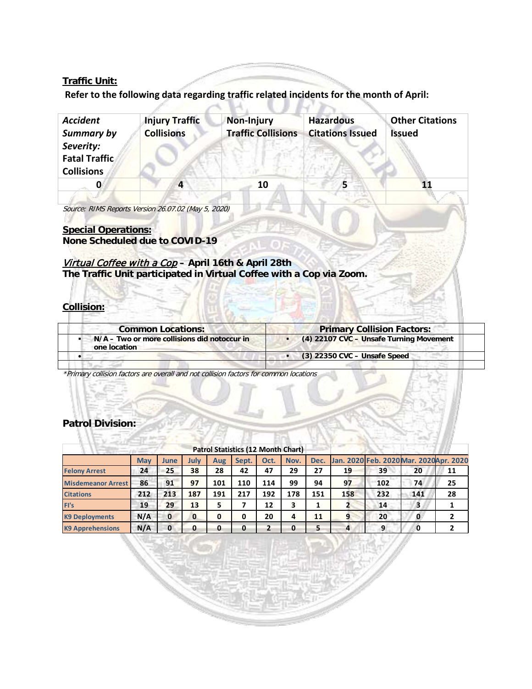#### **Traffic Unit:**

# **Refer to the following data regarding traffic related incidents for the month of April:**

| <b>Accident</b><br>Summary by                          | <b>Injury Traffic</b><br><b>Collisions</b> | <b>Non-Injury</b><br><b>Traffic Collisions</b> | <b>Hazardous</b><br><b>Citations Issued</b> | <b>Other Citations</b><br><b>Issued</b> |
|--------------------------------------------------------|--------------------------------------------|------------------------------------------------|---------------------------------------------|-----------------------------------------|
| Severity:<br><b>Fatal Traffic</b><br><b>Collisions</b> |                                            |                                                |                                             |                                         |
|                                                        | 4                                          | 10                                             |                                             |                                         |
|                                                        |                                            |                                                |                                             |                                         |

Source: RIMS Reports Version 26.07.02 (May 5, 2020)

#### **Special Operations: None Scheduled due to COVID-19**

#### Virtual Coffee with a Cop **– April 16th & April 28th The Traffic Unit participated in Virtual Coffee with a Cop via Zoom.**

**Collision:**

| <b>Primary Collision Factors:</b>       |
|-----------------------------------------|
| (4) 22107 CVC - Unsafe Turning Movement |
| $(3)$ 22350 CVC - Unsafe Speed          |
|                                         |

\*Primary collision factors are overall and not collision factors for common locations

#### **Patrol Division:**

|                           |            |          |          |     | <b>Patrol Statistics (12 Month Chart)</b> |      |      |     |                |                                              |     |    |
|---------------------------|------------|----------|----------|-----|-------------------------------------------|------|------|-----|----------------|----------------------------------------------|-----|----|
|                           | <b>May</b> | June     | July     | Aug | Sept.                                     | Oct. | Nov. |     |                | Dec. Jan. 2020 Feb. 2020 Mar. 2020 Apr. 2020 |     |    |
| <b>Felony Arrest</b>      | 24         | 25       | 38       | 28  | 42                                        | 47   | 29   | 27  | 19             | 39                                           | 20  | 11 |
| <b>Misdemeanor Arrest</b> | 86         | 91       | 97       | 101 | 110                                       | 114  | 99   | 94  | 97             | 102                                          | 74  | 25 |
| <b>Citations</b>          | 212        | 213      | 187      | 191 | 217                                       | 192  | 178  | 151 | 158            | 232                                          | 141 | 28 |
| FI's                      | 19         | 29       | 13       |     |                                           | 12   | 3    |     |                | 14                                           | з   |    |
| <b>K9 Deployments</b>     | N/A        | 0        | $\bf{0}$ | 0   |                                           | 20   | 4    | 11  | 9              | 20                                           | 0   |    |
| <b>K9 Apprehensions</b>   | N/A        | $\bf{0}$ | 0        | 0   | 0                                         | 2    | 0    |     | $\overline{a}$ | 9                                            | 0   |    |